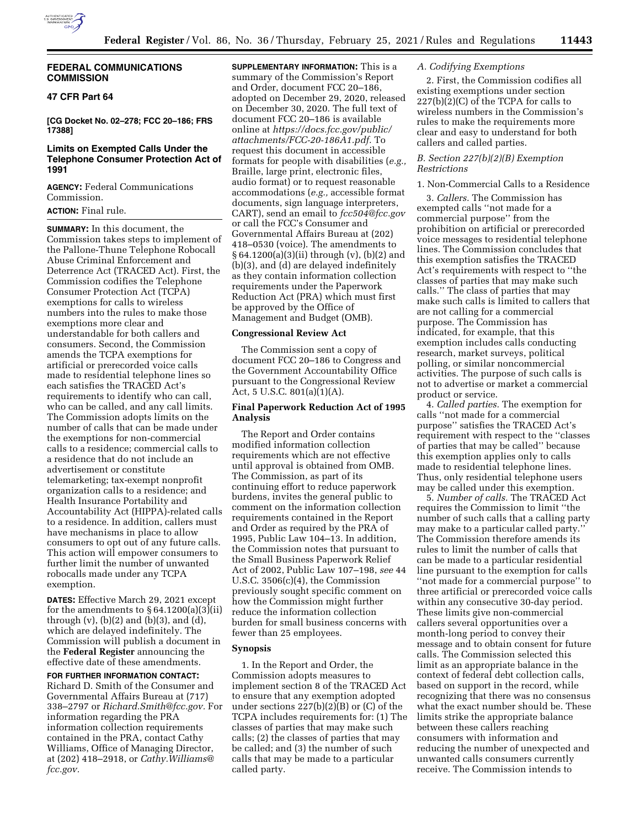

# **FEDERAL COMMUNICATIONS COMMISSION**

# **47 CFR Part 64**

**[CG Docket No. 02–278; FCC 20–186; FRS 17388]** 

# **Limits on Exempted Calls Under the Telephone Consumer Protection Act of 1991**

**AGENCY:** Federal Communications Commission.

# **ACTION:** Final rule.

**SUMMARY:** In this document, the Commission takes steps to implement of the Pallone-Thune Telephone Robocall Abuse Criminal Enforcement and Deterrence Act (TRACED Act). First, the Commission codifies the Telephone Consumer Protection Act (TCPA) exemptions for calls to wireless numbers into the rules to make those exemptions more clear and understandable for both callers and consumers. Second, the Commission amends the TCPA exemptions for artificial or prerecorded voice calls made to residential telephone lines so each satisfies the TRACED Act's requirements to identify who can call, who can be called, and any call limits. The Commission adopts limits on the number of calls that can be made under the exemptions for non-commercial calls to a residence; commercial calls to a residence that do not include an advertisement or constitute telemarketing; tax-exempt nonprofit organization calls to a residence; and Health Insurance Portability and Accountability Act (HIPPA)-related calls to a residence. In addition, callers must have mechanisms in place to allow consumers to opt out of any future calls. This action will empower consumers to further limit the number of unwanted robocalls made under any TCPA exemption.

**DATES:** Effective March 29, 2021 except for the amendments to  $\S 64.1200(a)(3)(ii)$ through  $(v)$ ,  $(b)(2)$  and  $(b)(3)$ , and  $(d)$ , which are delayed indefinitely. The Commission will publish a document in the **Federal Register** announcing the effective date of these amendments.

#### **FOR FURTHER INFORMATION CONTACT:**

Richard D. Smith of the Consumer and Governmental Affairs Bureau at (717) 338–2797 or *[Richard.Smith@fcc.gov.](mailto:Richard.Smith@fcc.gov)* For information regarding the PRA information collection requirements contained in the PRA, contact Cathy Williams, Office of Managing Director, at (202) 418–2918, or *[Cathy.Williams@](mailto:Cathy.Williams@fcc.gov) [fcc.gov.](mailto:Cathy.Williams@fcc.gov)* 

**SUPPLEMENTARY INFORMATION:** This is a summary of the Commission's Report and Order, document FCC 20–186, adopted on December 29, 2020, released on December 30, 2020. The full text of document FCC 20–186 is available online at *[https://docs.fcc.gov/public/](https://docs.fcc.gov/public/attachments/FCC-20-186A1.pdf)  [attachments/FCC-20-186A1.pdf.](https://docs.fcc.gov/public/attachments/FCC-20-186A1.pdf)* To request this document in accessible formats for people with disabilities (*e.g.,*  Braille, large print, electronic files, audio format) or to request reasonable accommodations (*e.g.,* accessible format documents, sign language interpreters, CART), send an email to *[fcc504@fcc.gov](mailto:fcc504@fcc.gov)*  or call the FCC's Consumer and Governmental Affairs Bureau at (202) 418–0530 (voice). The amendments to § 64.1200(a)(3)(ii) through (v), (b)(2) and (b)(3), and (d) are delayed indefinitely as they contain information collection requirements under the Paperwork Reduction Act (PRA) which must first be approved by the Office of Management and Budget (OMB).

#### **Congressional Review Act**

The Commission sent a copy of document FCC 20–186 to Congress and the Government Accountability Office pursuant to the Congressional Review Act, 5 U.S.C. 801(a)(1)(A).

## **Final Paperwork Reduction Act of 1995 Analysis**

The Report and Order contains modified information collection requirements which are not effective until approval is obtained from OMB. The Commission, as part of its continuing effort to reduce paperwork burdens, invites the general public to comment on the information collection requirements contained in the Report and Order as required by the PRA of 1995, Public Law 104–13. In addition, the Commission notes that pursuant to the Small Business Paperwork Relief Act of 2002, Public Law 107–198, *see* 44 U.S.C. 3506(c)(4), the Commission previously sought specific comment on how the Commission might further reduce the information collection burden for small business concerns with fewer than 25 employees.

## **Synopsis**

1. In the Report and Order, the Commission adopts measures to implement section 8 of the TRACED Act to ensure that any exemption adopted under sections 227(b)(2)(B) or (C) of the TCPA includes requirements for: (1) The classes of parties that may make such calls; (2) the classes of parties that may be called; and (3) the number of such calls that may be made to a particular called party.

# *A. Codifying Exemptions*

2. First, the Commission codifies all existing exemptions under section  $227(b)(2)(C)$  of the TCPA for calls to wireless numbers in the Commission's rules to make the requirements more clear and easy to understand for both callers and called parties.

### *B. Section 227(b)(2)(B) Exemption Restrictions*

## 1. Non-Commercial Calls to a Residence

3. *Callers.* The Commission has exempted calls ''not made for a commercial purpose'' from the prohibition on artificial or prerecorded voice messages to residential telephone lines. The Commission concludes that this exemption satisfies the TRACED Act's requirements with respect to ''the classes of parties that may make such calls.'' The class of parties that may make such calls is limited to callers that are not calling for a commercial purpose. The Commission has indicated, for example, that this exemption includes calls conducting research, market surveys, political polling, or similar noncommercial activities. The purpose of such calls is not to advertise or market a commercial product or service.

4. *Called parties.* The exemption for calls ''not made for a commercial purpose'' satisfies the TRACED Act's requirement with respect to the ''classes of parties that may be called'' because this exemption applies only to calls made to residential telephone lines. Thus, only residential telephone users may be called under this exemption.

5. *Number of calls.* The TRACED Act requires the Commission to limit ''the number of such calls that a calling party may make to a particular called party.'' The Commission therefore amends its rules to limit the number of calls that can be made to a particular residential line pursuant to the exemption for calls ''not made for a commercial purpose'' to three artificial or prerecorded voice calls within any consecutive 30-day period. These limits give non-commercial callers several opportunities over a month-long period to convey their message and to obtain consent for future calls. The Commission selected this limit as an appropriate balance in the context of federal debt collection calls, based on support in the record, while recognizing that there was no consensus what the exact number should be. These limits strike the appropriate balance between these callers reaching consumers with information and reducing the number of unexpected and unwanted calls consumers currently receive. The Commission intends to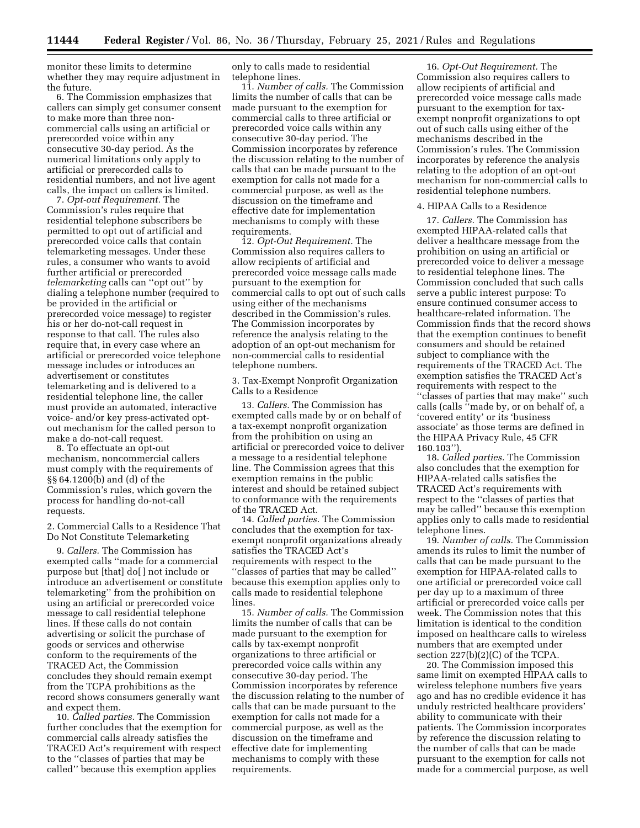monitor these limits to determine whether they may require adjustment in the future.

6. The Commission emphasizes that callers can simply get consumer consent to make more than three noncommercial calls using an artificial or prerecorded voice within any consecutive 30-day period. As the numerical limitations only apply to artificial or prerecorded calls to residential numbers, and not live agent calls, the impact on callers is limited.

7. *Opt-out Requirement.* The Commission's rules require that residential telephone subscribers be permitted to opt out of artificial and prerecorded voice calls that contain telemarketing messages. Under these rules, a consumer who wants to avoid further artificial or prerecorded *telemarketing* calls can ''opt out'' by dialing a telephone number (required to be provided in the artificial or prerecorded voice message) to register his or her do-not-call request in response to that call. The rules also require that, in every case where an artificial or prerecorded voice telephone message includes or introduces an advertisement or constitutes telemarketing and is delivered to a residential telephone line, the caller must provide an automated, interactive voice- and/or key press-activated optout mechanism for the called person to make a do-not-call request.

8. To effectuate an opt-out mechanism, noncommercial callers must comply with the requirements of §§ 64.1200(b) and (d) of the Commission's rules, which govern the process for handling do-not-call requests.

2. Commercial Calls to a Residence That Do Not Constitute Telemarketing

9. *Callers.* The Commission has exempted calls ''made for a commercial purpose but [that] do[ ] not include or introduce an advertisement or constitute telemarketing'' from the prohibition on using an artificial or prerecorded voice message to call residential telephone lines. If these calls do not contain advertising or solicit the purchase of goods or services and otherwise conform to the requirements of the TRACED Act, the Commission concludes they should remain exempt from the TCPA prohibitions as the record shows consumers generally want and expect them.

10. *Called parties.* The Commission further concludes that the exemption for commercial calls already satisfies the TRACED Act's requirement with respect to the ''classes of parties that may be called'' because this exemption applies

only to calls made to residential telephone lines.

11. *Number of calls.* The Commission limits the number of calls that can be made pursuant to the exemption for commercial calls to three artificial or prerecorded voice calls within any consecutive 30-day period. The Commission incorporates by reference the discussion relating to the number of calls that can be made pursuant to the exemption for calls not made for a commercial purpose, as well as the discussion on the timeframe and effective date for implementation mechanisms to comply with these requirements.

12. *Opt-Out Requirement.* The Commission also requires callers to allow recipients of artificial and prerecorded voice message calls made pursuant to the exemption for commercial calls to opt out of such calls using either of the mechanisms described in the Commission's rules. The Commission incorporates by reference the analysis relating to the adoption of an opt-out mechanism for non-commercial calls to residential telephone numbers.

3. Tax-Exempt Nonprofit Organization Calls to a Residence

13. *Callers.* The Commission has exempted calls made by or on behalf of a tax-exempt nonprofit organization from the prohibition on using an artificial or prerecorded voice to deliver a message to a residential telephone line. The Commission agrees that this exemption remains in the public interest and should be retained subject to conformance with the requirements of the TRACED Act.

14. *Called parties.* The Commission concludes that the exemption for taxexempt nonprofit organizations already satisfies the TRACED Act's requirements with respect to the ''classes of parties that may be called'' because this exemption applies only to calls made to residential telephone lines.

15. *Number of calls.* The Commission limits the number of calls that can be made pursuant to the exemption for calls by tax-exempt nonprofit organizations to three artificial or prerecorded voice calls within any consecutive 30-day period. The Commission incorporates by reference the discussion relating to the number of calls that can be made pursuant to the exemption for calls not made for a commercial purpose, as well as the discussion on the timeframe and effective date for implementing mechanisms to comply with these requirements.

16. *Opt-Out Requirement.* The Commission also requires callers to allow recipients of artificial and prerecorded voice message calls made pursuant to the exemption for taxexempt nonprofit organizations to opt out of such calls using either of the mechanisms described in the Commission's rules. The Commission incorporates by reference the analysis relating to the adoption of an opt-out mechanism for non-commercial calls to residential telephone numbers.

#### 4. HIPAA Calls to a Residence

17. *Callers.* The Commission has exempted HIPAA-related calls that deliver a healthcare message from the prohibition on using an artificial or prerecorded voice to deliver a message to residential telephone lines. The Commission concluded that such calls serve a public interest purpose: To ensure continued consumer access to healthcare-related information. The Commission finds that the record shows that the exemption continues to benefit consumers and should be retained subject to compliance with the requirements of the TRACED Act. The exemption satisfies the TRACED Act's requirements with respect to the ''classes of parties that may make'' such calls (calls ''made by, or on behalf of, a 'covered entity' or its 'business associate' as those terms are defined in the HIPAA Privacy Rule, 45 CFR 160.103'').

18. *Called parties.* The Commission also concludes that the exemption for HIPAA-related calls satisfies the TRACED Act's requirements with respect to the ''classes of parties that may be called'' because this exemption applies only to calls made to residential telephone lines.

19. *Number of calls.* The Commission amends its rules to limit the number of calls that can be made pursuant to the exemption for HIPAA-related calls to one artificial or prerecorded voice call per day up to a maximum of three artificial or prerecorded voice calls per week. The Commission notes that this limitation is identical to the condition imposed on healthcare calls to wireless numbers that are exempted under section 227(b)(2)(C) of the TCPA.

20. The Commission imposed this same limit on exempted HIPAA calls to wireless telephone numbers five years ago and has no credible evidence it has unduly restricted healthcare providers' ability to communicate with their patients. The Commission incorporates by reference the discussion relating to the number of calls that can be made pursuant to the exemption for calls not made for a commercial purpose, as well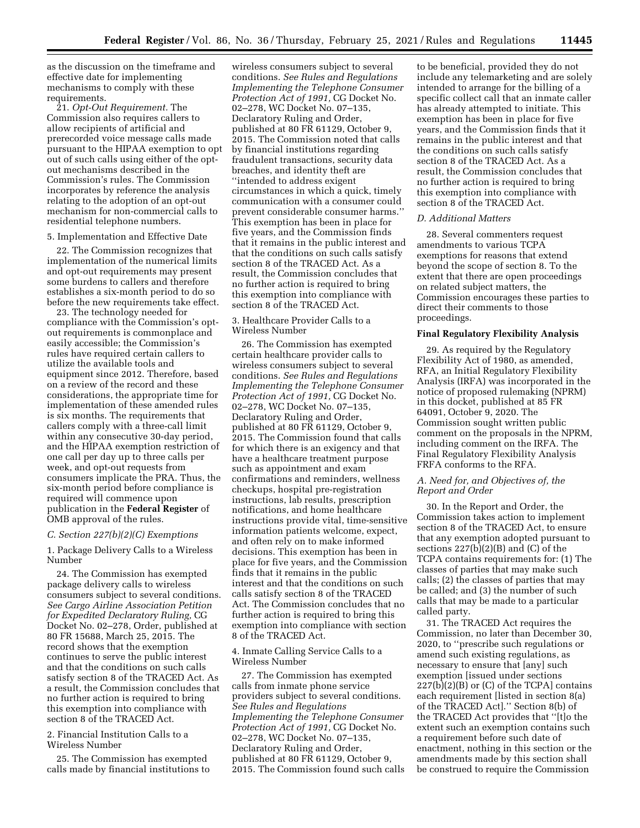as the discussion on the timeframe and effective date for implementing mechanisms to comply with these requirements.

21. *Opt-Out Requirement.* The Commission also requires callers to allow recipients of artificial and prerecorded voice message calls made pursuant to the HIPAA exemption to opt out of such calls using either of the optout mechanisms described in the Commission's rules. The Commission incorporates by reference the analysis relating to the adoption of an opt-out mechanism for non-commercial calls to residential telephone numbers.

5. Implementation and Effective Date

22. The Commission recognizes that implementation of the numerical limits and opt-out requirements may present some burdens to callers and therefore establishes a six-month period to do so before the new requirements take effect.

23. The technology needed for compliance with the Commission's optout requirements is commonplace and easily accessible; the Commission's rules have required certain callers to utilize the available tools and equipment since 2012. Therefore, based on a review of the record and these considerations, the appropriate time for implementation of these amended rules is six months. The requirements that callers comply with a three-call limit within any consecutive 30-day period, and the HIPAA exemption restriction of one call per day up to three calls per week, and opt-out requests from consumers implicate the PRA. Thus, the six-month period before compliance is required will commence upon publication in the **Federal Register** of OMB approval of the rules.

### *C. Section 227(b)(2)(C) Exemptions*

1. Package Delivery Calls to a Wireless Number

24. The Commission has exempted package delivery calls to wireless consumers subject to several conditions. *See Cargo Airline Association Petition for Expedited Declaratory Ruling,* CG Docket No. 02–278, Order, published at 80 FR 15688, March 25, 2015. The record shows that the exemption continues to serve the public interest and that the conditions on such calls satisfy section 8 of the TRACED Act. As a result, the Commission concludes that no further action is required to bring this exemption into compliance with section 8 of the TRACED Act.

2. Financial Institution Calls to a Wireless Number

25. The Commission has exempted calls made by financial institutions to

wireless consumers subject to several conditions. *See Rules and Regulations Implementing the Telephone Consumer Protection Act of 1991,* CG Docket No. 02–278, WC Docket No. 07–135, Declaratory Ruling and Order, published at 80 FR 61129, October 9, 2015. The Commission noted that calls by financial institutions regarding fraudulent transactions, security data breaches, and identity theft are ''intended to address exigent circumstances in which a quick, timely communication with a consumer could prevent considerable consumer harms.'' This exemption has been in place for five years, and the Commission finds that it remains in the public interest and that the conditions on such calls satisfy section 8 of the TRACED Act. As a result, the Commission concludes that no further action is required to bring this exemption into compliance with section 8 of the TRACED Act.

## 3. Healthcare Provider Calls to a Wireless Number

26. The Commission has exempted certain healthcare provider calls to wireless consumers subject to several conditions. *See Rules and Regulations Implementing the Telephone Consumer Protection Act of 1991,* CG Docket No. 02–278, WC Docket No. 07–135, Declaratory Ruling and Order, published at 80 FR 61129, October 9, 2015. The Commission found that calls for which there is an exigency and that have a healthcare treatment purpose such as appointment and exam confirmations and reminders, wellness checkups, hospital pre-registration instructions, lab results, prescription notifications, and home healthcare instructions provide vital, time-sensitive information patients welcome, expect, and often rely on to make informed decisions. This exemption has been in place for five years, and the Commission finds that it remains in the public interest and that the conditions on such calls satisfy section 8 of the TRACED Act. The Commission concludes that no further action is required to bring this exemption into compliance with section 8 of the TRACED Act.

4. Inmate Calling Service Calls to a Wireless Number

27. The Commission has exempted calls from inmate phone service providers subject to several conditions. *See Rules and Regulations Implementing the Telephone Consumer Protection Act of 1991,* CG Docket No. 02–278, WC Docket No. 07–135, Declaratory Ruling and Order, published at 80 FR 61129, October 9, 2015. The Commission found such calls

to be beneficial, provided they do not include any telemarketing and are solely intended to arrange for the billing of a specific collect call that an inmate caller has already attempted to initiate. This exemption has been in place for five years, and the Commission finds that it remains in the public interest and that the conditions on such calls satisfy section 8 of the TRACED Act. As a result, the Commission concludes that no further action is required to bring this exemption into compliance with section 8 of the TRACED Act.

### *D. Additional Matters*

28. Several commenters request amendments to various TCPA exemptions for reasons that extend beyond the scope of section 8. To the extent that there are open proceedings on related subject matters, the Commission encourages these parties to direct their comments to those proceedings.

## **Final Regulatory Flexibility Analysis**

29. As required by the Regulatory Flexibility Act of 1980, as amended, RFA, an Initial Regulatory Flexibility Analysis (IRFA) was incorporated in the notice of proposed rulemaking (NPRM) in this docket, published at 85 FR 64091, October 9, 2020. The Commission sought written public comment on the proposals in the NPRM, including comment on the IRFA. The Final Regulatory Flexibility Analysis FRFA conforms to the RFA.

## *A. Need for, and Objectives of, the Report and Order*

30. In the Report and Order, the Commission takes action to implement section 8 of the TRACED Act, to ensure that any exemption adopted pursuant to sections 227(b)(2)(B) and (C) of the TCPA contains requirements for: (1) The classes of parties that may make such calls; (2) the classes of parties that may be called; and (3) the number of such calls that may be made to a particular called party.

31. The TRACED Act requires the Commission, no later than December 30, 2020, to ''prescribe such regulations or amend such existing regulations, as necessary to ensure that [any] such exemption [issued under sections 227(b)(2)(B) or (C) of the TCPA] contains each requirement [listed in section 8(a) of the TRACED Act].'' Section 8(b) of the TRACED Act provides that ''[t]o the extent such an exemption contains such a requirement before such date of enactment, nothing in this section or the amendments made by this section shall be construed to require the Commission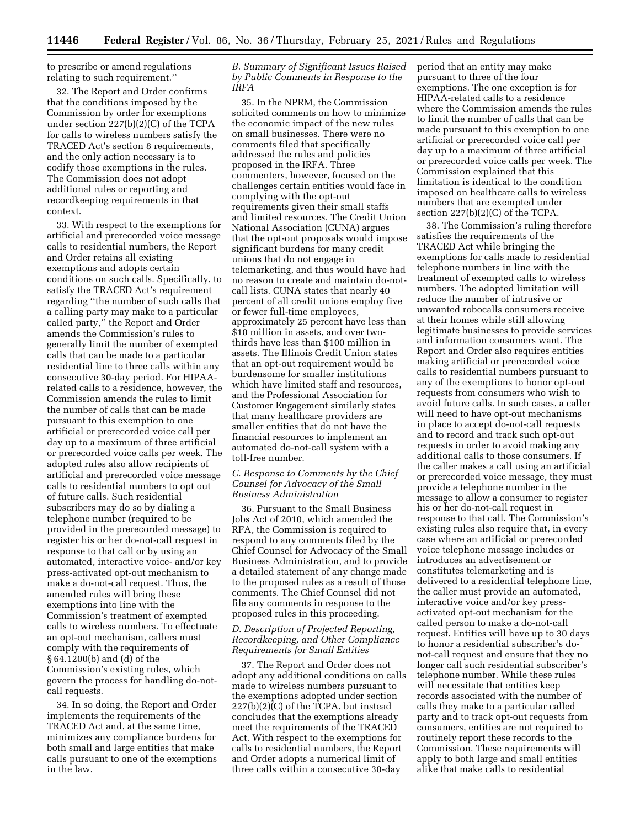to prescribe or amend regulations relating to such requirement.''

32. The Report and Order confirms that the conditions imposed by the Commission by order for exemptions under section 227(b)(2)(C) of the TCPA for calls to wireless numbers satisfy the TRACED Act's section 8 requirements, and the only action necessary is to codify those exemptions in the rules. The Commission does not adopt additional rules or reporting and recordkeeping requirements in that context.

33. With respect to the exemptions for artificial and prerecorded voice message calls to residential numbers, the Report and Order retains all existing exemptions and adopts certain conditions on such calls. Specifically, to satisfy the TRACED Act's requirement regarding ''the number of such calls that a calling party may make to a particular called party,'' the Report and Order amends the Commission's rules to generally limit the number of exempted calls that can be made to a particular residential line to three calls within any consecutive 30-day period. For HIPAArelated calls to a residence, however, the Commission amends the rules to limit the number of calls that can be made pursuant to this exemption to one artificial or prerecorded voice call per day up to a maximum of three artificial or prerecorded voice calls per week. The adopted rules also allow recipients of artificial and prerecorded voice message calls to residential numbers to opt out of future calls. Such residential subscribers may do so by dialing a telephone number (required to be provided in the prerecorded message) to register his or her do-not-call request in response to that call or by using an automated, interactive voice- and/or key press-activated opt-out mechanism to make a do-not-call request. Thus, the amended rules will bring these exemptions into line with the Commission's treatment of exempted calls to wireless numbers. To effectuate an opt-out mechanism, callers must comply with the requirements of § 64.1200(b) and (d) of the Commission's existing rules, which govern the process for handling do-notcall requests.

34. In so doing, the Report and Order implements the requirements of the TRACED Act and, at the same time, minimizes any compliance burdens for both small and large entities that make calls pursuant to one of the exemptions in the law.

*B. Summary of Significant Issues Raised by Public Comments in Response to the IRFA* 

35. In the NPRM, the Commission solicited comments on how to minimize the economic impact of the new rules on small businesses. There were no comments filed that specifically addressed the rules and policies proposed in the IRFA. Three commenters, however, focused on the challenges certain entities would face in complying with the opt-out requirements given their small staffs and limited resources. The Credit Union National Association (CUNA) argues that the opt-out proposals would impose significant burdens for many credit unions that do not engage in telemarketing, and thus would have had no reason to create and maintain do-notcall lists. CUNA states that nearly 40 percent of all credit unions employ five or fewer full-time employees, approximately 25 percent have less than \$10 million in assets, and over twothirds have less than \$100 million in assets. The Illinois Credit Union states that an opt-out requirement would be burdensome for smaller institutions which have limited staff and resources, and the Professional Association for Customer Engagement similarly states that many healthcare providers are smaller entities that do not have the financial resources to implement an automated do-not-call system with a toll-free number.

### *C. Response to Comments by the Chief Counsel for Advocacy of the Small Business Administration*

36. Pursuant to the Small Business Jobs Act of 2010, which amended the RFA, the Commission is required to respond to any comments filed by the Chief Counsel for Advocacy of the Small Business Administration, and to provide a detailed statement of any change made to the proposed rules as a result of those comments. The Chief Counsel did not file any comments in response to the proposed rules in this proceeding.

## *D. Description of Projected Reporting, Recordkeeping, and Other Compliance Requirements for Small Entities*

37. The Report and Order does not adopt any additional conditions on calls made to wireless numbers pursuant to the exemptions adopted under section 227(b)(2)(C) of the TCPA, but instead concludes that the exemptions already meet the requirements of the TRACED Act. With respect to the exemptions for calls to residential numbers, the Report and Order adopts a numerical limit of three calls within a consecutive 30-day

period that an entity may make pursuant to three of the four exemptions. The one exception is for HIPAA-related calls to a residence where the Commission amends the rules to limit the number of calls that can be made pursuant to this exemption to one artificial or prerecorded voice call per day up to a maximum of three artificial or prerecorded voice calls per week. The Commission explained that this limitation is identical to the condition imposed on healthcare calls to wireless numbers that are exempted under section 227(b)(2)(C) of the TCPA.

38. The Commission's ruling therefore satisfies the requirements of the TRACED Act while bringing the exemptions for calls made to residential telephone numbers in line with the treatment of exempted calls to wireless numbers. The adopted limitation will reduce the number of intrusive or unwanted robocalls consumers receive at their homes while still allowing legitimate businesses to provide services and information consumers want. The Report and Order also requires entities making artificial or prerecorded voice calls to residential numbers pursuant to any of the exemptions to honor opt-out requests from consumers who wish to avoid future calls. In such cases, a caller will need to have opt-out mechanisms in place to accept do-not-call requests and to record and track such opt-out requests in order to avoid making any additional calls to those consumers. If the caller makes a call using an artificial or prerecorded voice message, they must provide a telephone number in the message to allow a consumer to register his or her do-not-call request in response to that call. The Commission's existing rules also require that, in every case where an artificial or prerecorded voice telephone message includes or introduces an advertisement or constitutes telemarketing and is delivered to a residential telephone line, the caller must provide an automated, interactive voice and/or key pressactivated opt-out mechanism for the called person to make a do-not-call request. Entities will have up to 30 days to honor a residential subscriber's donot-call request and ensure that they no longer call such residential subscriber's telephone number. While these rules will necessitate that entities keep records associated with the number of calls they make to a particular called party and to track opt-out requests from consumers, entities are not required to routinely report these records to the Commission. These requirements will apply to both large and small entities alike that make calls to residential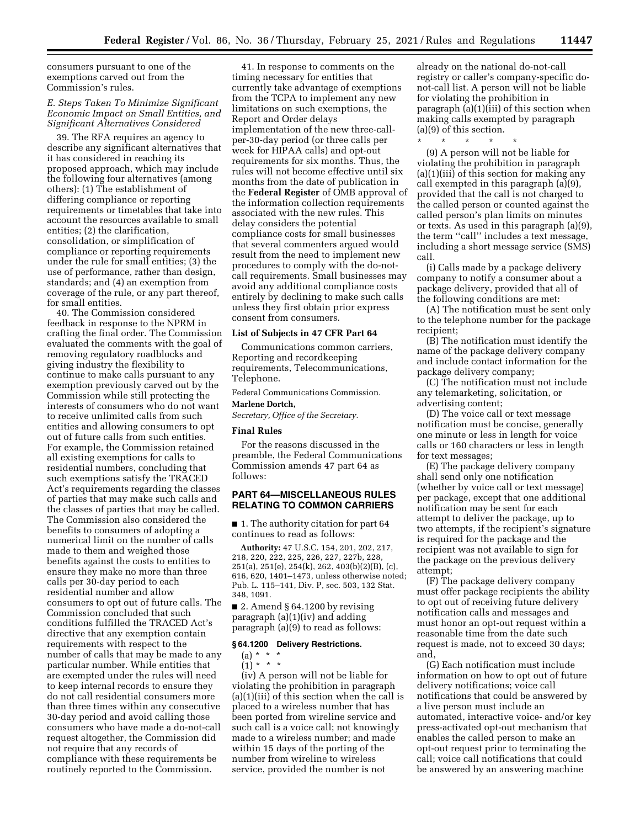consumers pursuant to one of the exemptions carved out from the Commission's rules.

# *E. Steps Taken To Minimize Significant Economic Impact on Small Entities, and Significant Alternatives Considered*

39. The RFA requires an agency to describe any significant alternatives that it has considered in reaching its proposed approach, which may include the following four alternatives (among others): (1) The establishment of differing compliance or reporting requirements or timetables that take into account the resources available to small entities; (2) the clarification, consolidation, or simplification of compliance or reporting requirements under the rule for small entities; (3) the use of performance, rather than design, standards; and (4) an exemption from coverage of the rule, or any part thereof, for small entities.

40. The Commission considered feedback in response to the NPRM in crafting the final order. The Commission evaluated the comments with the goal of removing regulatory roadblocks and giving industry the flexibility to continue to make calls pursuant to any exemption previously carved out by the Commission while still protecting the interests of consumers who do not want to receive unlimited calls from such entities and allowing consumers to opt out of future calls from such entities. For example, the Commission retained all existing exemptions for calls to residential numbers, concluding that such exemptions satisfy the TRACED Act's requirements regarding the classes of parties that may make such calls and the classes of parties that may be called. The Commission also considered the benefits to consumers of adopting a numerical limit on the number of calls made to them and weighed those benefits against the costs to entities to ensure they make no more than three calls per 30-day period to each residential number and allow consumers to opt out of future calls. The Commission concluded that such conditions fulfilled the TRACED Act's directive that any exemption contain requirements with respect to the number of calls that may be made to any particular number. While entities that are exempted under the rules will need to keep internal records to ensure they do not call residential consumers more than three times within any consecutive 30-day period and avoid calling those consumers who have made a do-not-call request altogether, the Commission did not require that any records of compliance with these requirements be routinely reported to the Commission.

41. In response to comments on the timing necessary for entities that currently take advantage of exemptions from the TCPA to implement any new limitations on such exemptions, the Report and Order delays implementation of the new three-callper-30-day period (or three calls per week for HIPAA calls) and opt-out requirements for six months. Thus, the rules will not become effective until six months from the date of publication in the **Federal Register** of OMB approval of the information collection requirements associated with the new rules. This delay considers the potential compliance costs for small businesses that several commenters argued would result from the need to implement new procedures to comply with the do-notcall requirements. Small businesses may avoid any additional compliance costs entirely by declining to make such calls unless they first obtain prior express consent from consumers.

### **List of Subjects in 47 CFR Part 64**

Communications common carriers, Reporting and recordkeeping requirements, Telecommunications, Telephone.

Federal Communications Commission.

### **Marlene Dortch,**

*Secretary, Office of the Secretary.* 

### **Final Rules**

For the reasons discussed in the preamble, the Federal Communications Commission amends 47 part 64 as follows:

# **PART 64—MISCELLANEOUS RULES RELATING TO COMMON CARRIERS**

■ 1. The authority citation for part 64 continues to read as follows:

**Authority:** 47 U.S.C. 154, 201, 202, 217, 218, 220, 222, 225, 226, 227, 227b, 228, 251(a), 251(e), 254(k), 262, 403(b)(2)(B), (c), 616, 620, 1401–1473, unless otherwise noted; Pub. L. 115–141, Div. P, sec. 503, 132 Stat. 348, 1091.

■ 2. Amend § 64.1200 by revising paragraph (a)(1)(iv) and adding paragraph (a)(9) to read as follows:

#### **§ 64.1200 Delivery Restrictions.**

(a) \* \* \*

(1) \* \* \*

(iv) A person will not be liable for violating the prohibition in paragraph (a)(1)(iii) of this section when the call is placed to a wireless number that has been ported from wireline service and such call is a voice call; not knowingly made to a wireless number; and made within 15 days of the porting of the number from wireline to wireless service, provided the number is not

already on the national do-not-call registry or caller's company-specific donot-call list. A person will not be liable for violating the prohibition in paragraph (a)(1)(iii) of this section when making calls exempted by paragraph (a)(9) of this section.

\* \* \* \* \*

(9) A person will not be liable for violating the prohibition in paragraph (a)(1)(iii) of this section for making any call exempted in this paragraph (a)(9), provided that the call is not charged to the called person or counted against the called person's plan limits on minutes or texts. As used in this paragraph (a)(9), the term ''call'' includes a text message, including a short message service (SMS) call.

(i) Calls made by a package delivery company to notify a consumer about a package delivery, provided that all of the following conditions are met:

(A) The notification must be sent only to the telephone number for the package recipient;

(B) The notification must identify the name of the package delivery company and include contact information for the package delivery company;

(C) The notification must not include any telemarketing, solicitation, or advertising content;

(D) The voice call or text message notification must be concise, generally one minute or less in length for voice calls or 160 characters or less in length for text messages;

(E) The package delivery company shall send only one notification (whether by voice call or text message) per package, except that one additional notification may be sent for each attempt to deliver the package, up to two attempts, if the recipient's signature is required for the package and the recipient was not available to sign for the package on the previous delivery attempt;

(F) The package delivery company must offer package recipients the ability to opt out of receiving future delivery notification calls and messages and must honor an opt-out request within a reasonable time from the date such request is made, not to exceed 30 days; and,

(G) Each notification must include information on how to opt out of future delivery notifications; voice call notifications that could be answered by a live person must include an automated, interactive voice- and/or key press-activated opt-out mechanism that enables the called person to make an opt-out request prior to terminating the call; voice call notifications that could be answered by an answering machine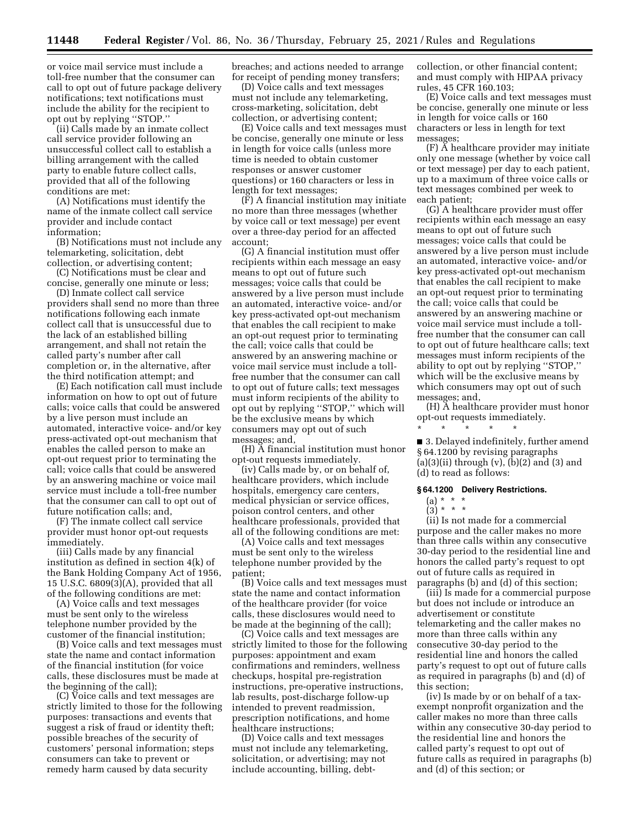or voice mail service must include a toll-free number that the consumer can call to opt out of future package delivery notifications; text notifications must include the ability for the recipient to opt out by replying ''STOP.''

(ii) Calls made by an inmate collect call service provider following an unsuccessful collect call to establish a billing arrangement with the called party to enable future collect calls, provided that all of the following conditions are met:

(A) Notifications must identify the name of the inmate collect call service provider and include contact information;

(B) Notifications must not include any telemarketing, solicitation, debt collection, or advertising content;

(C) Notifications must be clear and concise, generally one minute or less;

(D) Inmate collect call service providers shall send no more than three notifications following each inmate collect call that is unsuccessful due to the lack of an established billing arrangement, and shall not retain the called party's number after call completion or, in the alternative, after the third notification attempt; and

(E) Each notification call must include information on how to opt out of future calls; voice calls that could be answered by a live person must include an automated, interactive voice- and/or key press-activated opt-out mechanism that enables the called person to make an opt-out request prior to terminating the call; voice calls that could be answered by an answering machine or voice mail service must include a toll-free number that the consumer can call to opt out of future notification calls; and,

(F) The inmate collect call service provider must honor opt-out requests immediately.

(iii) Calls made by any financial institution as defined in section 4(k) of the Bank Holding Company Act of 1956, 15 U.S.C. 6809(3)(A), provided that all of the following conditions are met:

(A) Voice calls and text messages must be sent only to the wireless telephone number provided by the customer of the financial institution;

(B) Voice calls and text messages must state the name and contact information of the financial institution (for voice calls, these disclosures must be made at the beginning of the call);

(C) Voice calls and text messages are strictly limited to those for the following purposes: transactions and events that suggest a risk of fraud or identity theft; possible breaches of the security of customers' personal information; steps consumers can take to prevent or remedy harm caused by data security

breaches; and actions needed to arrange for receipt of pending money transfers;

(D) Voice calls and text messages must not include any telemarketing, cross-marketing, solicitation, debt collection, or advertising content;

(E) Voice calls and text messages must be concise, generally one minute or less in length for voice calls (unless more time is needed to obtain customer responses or answer customer questions) or 160 characters or less in length for text messages;

(F) A financial institution may initiate no more than three messages (whether by voice call or text message) per event over a three-day period for an affected account;

(G) A financial institution must offer recipients within each message an easy means to opt out of future such messages; voice calls that could be answered by a live person must include an automated, interactive voice- and/or key press-activated opt-out mechanism that enables the call recipient to make an opt-out request prior to terminating the call; voice calls that could be answered by an answering machine or voice mail service must include a tollfree number that the consumer can call to opt out of future calls; text messages must inform recipients of the ability to opt out by replying ''STOP,'' which will be the exclusive means by which consumers may opt out of such messages; and,

(H) A financial institution must honor opt-out requests immediately.

(iv) Calls made by, or on behalf of, healthcare providers, which include hospitals, emergency care centers, medical physician or service offices, poison control centers, and other healthcare professionals, provided that all of the following conditions are met:

(A) Voice calls and text messages must be sent only to the wireless telephone number provided by the patient;

(B) Voice calls and text messages must state the name and contact information of the healthcare provider (for voice calls, these disclosures would need to be made at the beginning of the call);

(C) Voice calls and text messages are strictly limited to those for the following purposes: appointment and exam confirmations and reminders, wellness checkups, hospital pre-registration instructions, pre-operative instructions, lab results, post-discharge follow-up intended to prevent readmission, prescription notifications, and home healthcare instructions;

(D) Voice calls and text messages must not include any telemarketing, solicitation, or advertising; may not include accounting, billing, debtcollection, or other financial content; and must comply with HIPAA privacy rules, 45 CFR 160.103;

(E) Voice calls and text messages must be concise, generally one minute or less in length for voice calls or 160 characters or less in length for text messages;

(F) A healthcare provider may initiate only one message (whether by voice call or text message) per day to each patient, up to a maximum of three voice calls or text messages combined per week to each patient;

(G) A healthcare provider must offer recipients within each message an easy means to opt out of future such messages; voice calls that could be answered by a live person must include an automated, interactive voice- and/or key press-activated opt-out mechanism that enables the call recipient to make an opt-out request prior to terminating the call; voice calls that could be answered by an answering machine or voice mail service must include a tollfree number that the consumer can call to opt out of future healthcare calls; text messages must inform recipients of the ability to opt out by replying ''STOP,'' which will be the exclusive means by which consumers may opt out of such messages; and,

(H) A healthcare provider must honor opt-out requests immediately.

■ 3. Delayed indefinitely, further amend § 64.1200 by revising paragraphs  $(a)(3)(ii)$  through  $(v)$ ,  $(b)(2)$  and  $(3)$  and (d) to read as follows:

#### **§ 64.1200 Delivery Restrictions.**

\* \* \* \* \*

# (a) \* \* \*

 $\binom{11}{3}$  \* \* \*

(ii) Is not made for a commercial purpose and the caller makes no more than three calls within any consecutive 30-day period to the residential line and honors the called party's request to opt out of future calls as required in paragraphs (b) and (d) of this section;

(iii) Is made for a commercial purpose but does not include or introduce an advertisement or constitute telemarketing and the caller makes no more than three calls within any consecutive 30-day period to the residential line and honors the called party's request to opt out of future calls as required in paragraphs (b) and (d) of this section;

(iv) Is made by or on behalf of a taxexempt nonprofit organization and the caller makes no more than three calls within any consecutive 30-day period to the residential line and honors the called party's request to opt out of future calls as required in paragraphs (b) and (d) of this section; or